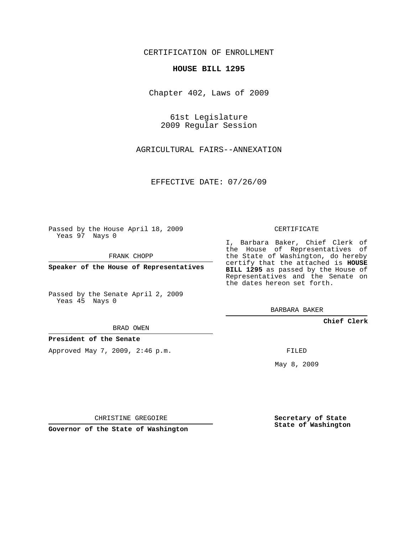# CERTIFICATION OF ENROLLMENT

### **HOUSE BILL 1295**

Chapter 402, Laws of 2009

61st Legislature 2009 Regular Session

AGRICULTURAL FAIRS--ANNEXATION

EFFECTIVE DATE: 07/26/09

Passed by the House April 18, 2009 Yeas 97 Nays 0

FRANK CHOPP

**Speaker of the House of Representatives**

Passed by the Senate April 2, 2009 Yeas 45 Nays 0

BRAD OWEN

**President of the Senate**

Approved May 7, 2009, 2:46 p.m.

CERTIFICATE

I, Barbara Baker, Chief Clerk of the House of Representatives of the State of Washington, do hereby certify that the attached is **HOUSE BILL 1295** as passed by the House of Representatives and the Senate on the dates hereon set forth.

BARBARA BAKER

**Chief Clerk**

FILED

May 8, 2009

**Secretary of State State of Washington**

CHRISTINE GREGOIRE

**Governor of the State of Washington**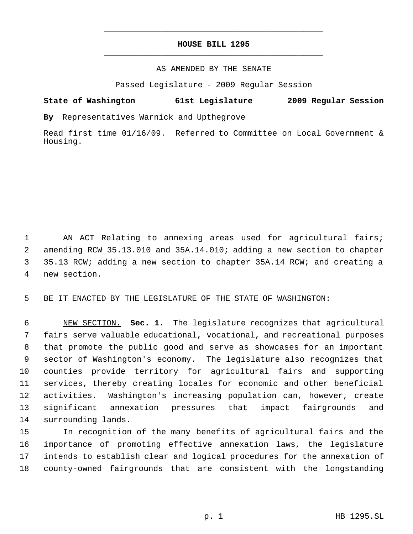# **HOUSE BILL 1295** \_\_\_\_\_\_\_\_\_\_\_\_\_\_\_\_\_\_\_\_\_\_\_\_\_\_\_\_\_\_\_\_\_\_\_\_\_\_\_\_\_\_\_\_\_

\_\_\_\_\_\_\_\_\_\_\_\_\_\_\_\_\_\_\_\_\_\_\_\_\_\_\_\_\_\_\_\_\_\_\_\_\_\_\_\_\_\_\_\_\_

## AS AMENDED BY THE SENATE

Passed Legislature - 2009 Regular Session

# **State of Washington 61st Legislature 2009 Regular Session**

**By** Representatives Warnick and Upthegrove

Read first time 01/16/09. Referred to Committee on Local Government & Housing.

 AN ACT Relating to annexing areas used for agricultural fairs; amending RCW 35.13.010 and 35A.14.010; adding a new section to chapter 35.13 RCW; adding a new section to chapter 35A.14 RCW; and creating a new section.

BE IT ENACTED BY THE LEGISLATURE OF THE STATE OF WASHINGTON:

 NEW SECTION. **Sec. 1.** The legislature recognizes that agricultural fairs serve valuable educational, vocational, and recreational purposes that promote the public good and serve as showcases for an important sector of Washington's economy. The legislature also recognizes that counties provide territory for agricultural fairs and supporting services, thereby creating locales for economic and other beneficial activities. Washington's increasing population can, however, create significant annexation pressures that impact fairgrounds and surrounding lands.

 In recognition of the many benefits of agricultural fairs and the importance of promoting effective annexation laws, the legislature intends to establish clear and logical procedures for the annexation of county-owned fairgrounds that are consistent with the longstanding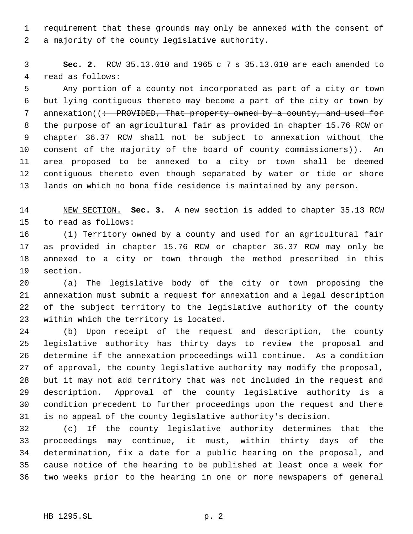requirement that these grounds may only be annexed with the consent of a majority of the county legislative authority.

 **Sec. 2.** RCW 35.13.010 and 1965 c 7 s 35.13.010 are each amended to read as follows:

 Any portion of a county not incorporated as part of a city or town but lying contiguous thereto may become a part of the city or town by 7 annexation((: PROVIDED, That property owned by a county, and used for 8 the purpose of an agricultural fair as provided in chapter 15.76 RCW or 9 chapter - 36.37 - RCW - shall - not - be - subject - to - annexation - without - the 10 consent of the majority of the board of county commissioners)). An area proposed to be annexed to a city or town shall be deemed contiguous thereto even though separated by water or tide or shore lands on which no bona fide residence is maintained by any person.

 NEW SECTION. **Sec. 3.** A new section is added to chapter 35.13 RCW to read as follows:

 (1) Territory owned by a county and used for an agricultural fair as provided in chapter 15.76 RCW or chapter 36.37 RCW may only be annexed to a city or town through the method prescribed in this section.

 (a) The legislative body of the city or town proposing the annexation must submit a request for annexation and a legal description of the subject territory to the legislative authority of the county within which the territory is located.

 (b) Upon receipt of the request and description, the county legislative authority has thirty days to review the proposal and determine if the annexation proceedings will continue. As a condition of approval, the county legislative authority may modify the proposal, but it may not add territory that was not included in the request and description. Approval of the county legislative authority is a condition precedent to further proceedings upon the request and there is no appeal of the county legislative authority's decision.

 (c) If the county legislative authority determines that the proceedings may continue, it must, within thirty days of the determination, fix a date for a public hearing on the proposal, and cause notice of the hearing to be published at least once a week for two weeks prior to the hearing in one or more newspapers of general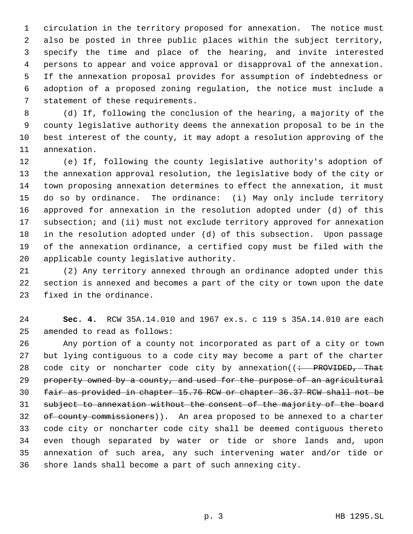circulation in the territory proposed for annexation. The notice must also be posted in three public places within the subject territory, specify the time and place of the hearing, and invite interested persons to appear and voice approval or disapproval of the annexation. If the annexation proposal provides for assumption of indebtedness or adoption of a proposed zoning regulation, the notice must include a statement of these requirements.

 (d) If, following the conclusion of the hearing, a majority of the county legislative authority deems the annexation proposal to be in the best interest of the county, it may adopt a resolution approving of the annexation.

 (e) If, following the county legislative authority's adoption of the annexation approval resolution, the legislative body of the city or town proposing annexation determines to effect the annexation, it must do so by ordinance. The ordinance: (i) May only include territory approved for annexation in the resolution adopted under (d) of this 17 subsection; and (ii) must not exclude territory approved for annexation in the resolution adopted under (d) of this subsection. Upon passage of the annexation ordinance, a certified copy must be filed with the applicable county legislative authority.

 (2) Any territory annexed through an ordinance adopted under this section is annexed and becomes a part of the city or town upon the date fixed in the ordinance.

 **Sec. 4.** RCW 35A.14.010 and 1967 ex.s. c 119 s 35A.14.010 are each amended to read as follows:

 Any portion of a county not incorporated as part of a city or town but lying contiguous to a code city may become a part of the charter 28 code city or noncharter code city by annexation( $\left( \div \text{ }$  PROVIDED, -That 29 property owned by a county, and used for the purpose of an agricultural fair as provided in chapter 15.76 RCW or chapter 36.37 RCW shall not be subject to annexation without the consent of the majority of the board 32 of county commissioners)). An area proposed to be annexed to a charter code city or noncharter code city shall be deemed contiguous thereto even though separated by water or tide or shore lands and, upon annexation of such area, any such intervening water and/or tide or shore lands shall become a part of such annexing city.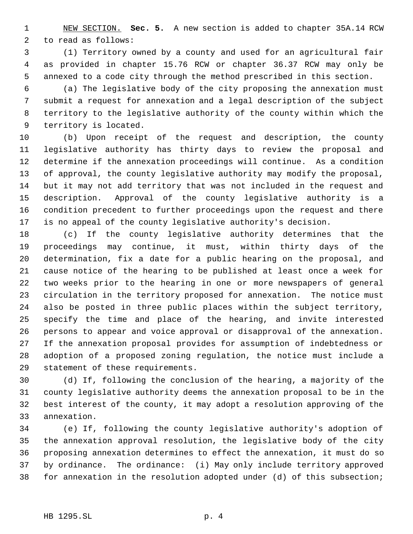NEW SECTION. **Sec. 5.** A new section is added to chapter 35A.14 RCW to read as follows:

 (1) Territory owned by a county and used for an agricultural fair as provided in chapter 15.76 RCW or chapter 36.37 RCW may only be annexed to a code city through the method prescribed in this section.

 (a) The legislative body of the city proposing the annexation must submit a request for annexation and a legal description of the subject territory to the legislative authority of the county within which the territory is located.

 (b) Upon receipt of the request and description, the county legislative authority has thirty days to review the proposal and determine if the annexation proceedings will continue. As a condition of approval, the county legislative authority may modify the proposal, but it may not add territory that was not included in the request and description. Approval of the county legislative authority is a condition precedent to further proceedings upon the request and there is no appeal of the county legislative authority's decision.

 (c) If the county legislative authority determines that the proceedings may continue, it must, within thirty days of the determination, fix a date for a public hearing on the proposal, and cause notice of the hearing to be published at least once a week for two weeks prior to the hearing in one or more newspapers of general circulation in the territory proposed for annexation. The notice must also be posted in three public places within the subject territory, specify the time and place of the hearing, and invite interested persons to appear and voice approval or disapproval of the annexation. If the annexation proposal provides for assumption of indebtedness or adoption of a proposed zoning regulation, the notice must include a statement of these requirements.

 (d) If, following the conclusion of the hearing, a majority of the county legislative authority deems the annexation proposal to be in the best interest of the county, it may adopt a resolution approving of the annexation.

 (e) If, following the county legislative authority's adoption of the annexation approval resolution, the legislative body of the city proposing annexation determines to effect the annexation, it must do so by ordinance. The ordinance: (i) May only include territory approved for annexation in the resolution adopted under (d) of this subsection;